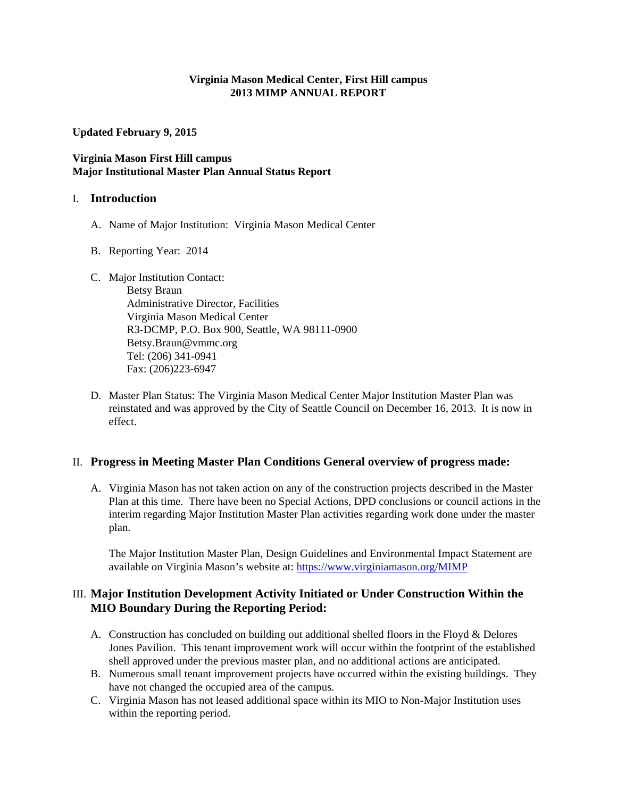#### **Virginia Mason Medical Center, First Hill campus 2013 MIMP ANNUAL REPORT**

**Updated February 9, 2015** 

## **Virginia Mason First Hill campus Major Institutional Master Plan Annual Status Report**

#### I. **Introduction**

- A. Name of Major Institution: Virginia Mason Medical Center
- B. Reporting Year: 2014
- C. Major Institution Contact:

Betsy Braun Administrative Director, Facilities Virginia Mason Medical Center R3-DCMP, P.O. Box 900, Seattle, WA 98111-0900 Betsy.Braun@vmmc.org Tel: (206) 341-0941 Fax: (206)223-6947

D. Master Plan Status: The Virginia Mason Medical Center Major Institution Master Plan was reinstated and was approved by the City of Seattle Council on December 16, 2013. It is now in effect.

## II. **Progress in Meeting Master Plan Conditions General overview of progress made:**

A. Virginia Mason has not taken action on any of the construction projects described in the Master Plan at this time. There have been no Special Actions, DPD conclusions or council actions in the interim regarding Major Institution Master Plan activities regarding work done under the master plan.

The Major Institution Master Plan, Design Guidelines and Environmental Impact Statement are available on Virginia Mason's website at: https://www.virginiamason.org/MIMP

## III. **Major Institution Development Activity Initiated or Under Construction Within the MIO Boundary During the Reporting Period:**

- A. Construction has concluded on building out additional shelled floors in the Floyd  $\&$  Delores Jones Pavilion. This tenant improvement work will occur within the footprint of the established shell approved under the previous master plan, and no additional actions are anticipated.
- B. Numerous small tenant improvement projects have occurred within the existing buildings. They have not changed the occupied area of the campus.
- C. Virginia Mason has not leased additional space within its MIO to Non-Major Institution uses within the reporting period.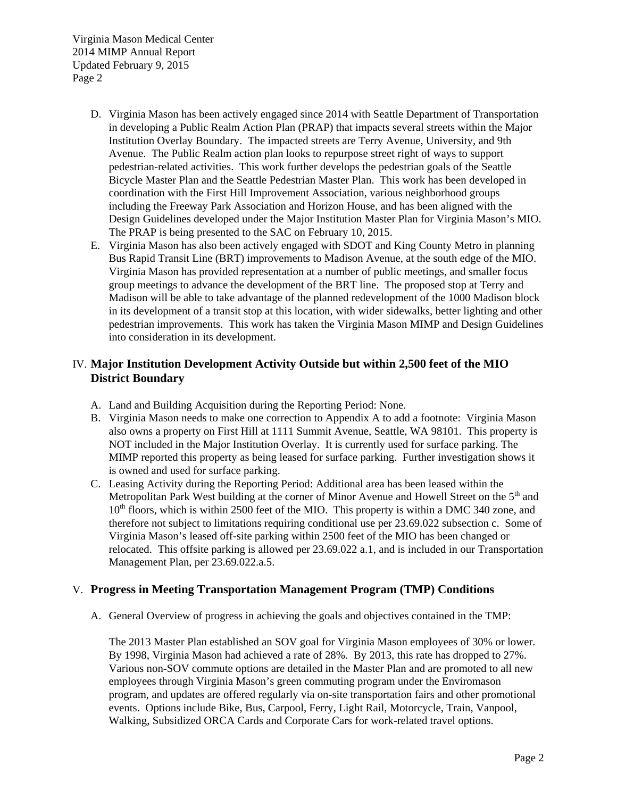Virginia Mason Medical Center 2014 MIMP Annual Report Updated February 9, 2015 Page 2

- D. Virginia Mason has been actively engaged since 2014 with Seattle Department of Transportation in developing a Public Realm Action Plan (PRAP) that impacts several streets within the Major Institution Overlay Boundary. The impacted streets are Terry Avenue, University, and 9th Avenue. The Public Realm action plan looks to repurpose street right of ways to support pedestrian-related activities. This work further develops the pedestrian goals of the Seattle Bicycle Master Plan and the Seattle Pedestrian Master Plan. This work has been developed in coordination with the First Hill Improvement Association, various neighborhood groups including the Freeway Park Association and Horizon House, and has been aligned with the Design Guidelines developed under the Major Institution Master Plan for Virginia Mason's MIO. The PRAP is being presented to the SAC on February 10, 2015.
- E. Virginia Mason has also been actively engaged with SDOT and King County Metro in planning Bus Rapid Transit Line (BRT) improvements to Madison Avenue, at the south edge of the MIO. Virginia Mason has provided representation at a number of public meetings, and smaller focus group meetings to advance the development of the BRT line. The proposed stop at Terry and Madison will be able to take advantage of the planned redevelopment of the 1000 Madison block in its development of a transit stop at this location, with wider sidewalks, better lighting and other pedestrian improvements. This work has taken the Virginia Mason MIMP and Design Guidelines into consideration in its development.

# IV. **Major Institution Development Activity Outside but within 2,500 feet of the MIO District Boundary**

- A. Land and Building Acquisition during the Reporting Period: None.
- B. Virginia Mason needs to make one correction to Appendix A to add a footnote: Virginia Mason also owns a property on First Hill at 1111 Summit Avenue, Seattle, WA 98101. This property is NOT included in the Major Institution Overlay. It is currently used for surface parking. The MIMP reported this property as being leased for surface parking. Further investigation shows it is owned and used for surface parking.
- C. Leasing Activity during the Reporting Period: Additional area has been leased within the Metropolitan Park West building at the corner of Minor Avenue and Howell Street on the 5<sup>th</sup> and 10<sup>th</sup> floors, which is within 2500 feet of the MIO. This property is within a DMC 340 zone, and therefore not subject to limitations requiring conditional use per 23.69.022 subsection c. Some of Virginia Mason's leased off-site parking within 2500 feet of the MIO has been changed or relocated. This offsite parking is allowed per 23.69.022 a.1, and is included in our Transportation Management Plan, per 23.69.022.a.5.

## V. **Progress in Meeting Transportation Management Program (TMP) Conditions**

A. General Overview of progress in achieving the goals and objectives contained in the TMP:

The 2013 Master Plan established an SOV goal for Virginia Mason employees of 30% or lower. By 1998, Virginia Mason had achieved a rate of 28%. By 2013, this rate has dropped to 27%. Various non-SOV commute options are detailed in the Master Plan and are promoted to all new employees through Virginia Mason's green commuting program under the Enviromason program, and updates are offered regularly via on-site transportation fairs and other promotional events. Options include Bike, Bus, Carpool, Ferry, Light Rail, Motorcycle, Train, Vanpool, Walking, Subsidized ORCA Cards and Corporate Cars for work-related travel options.